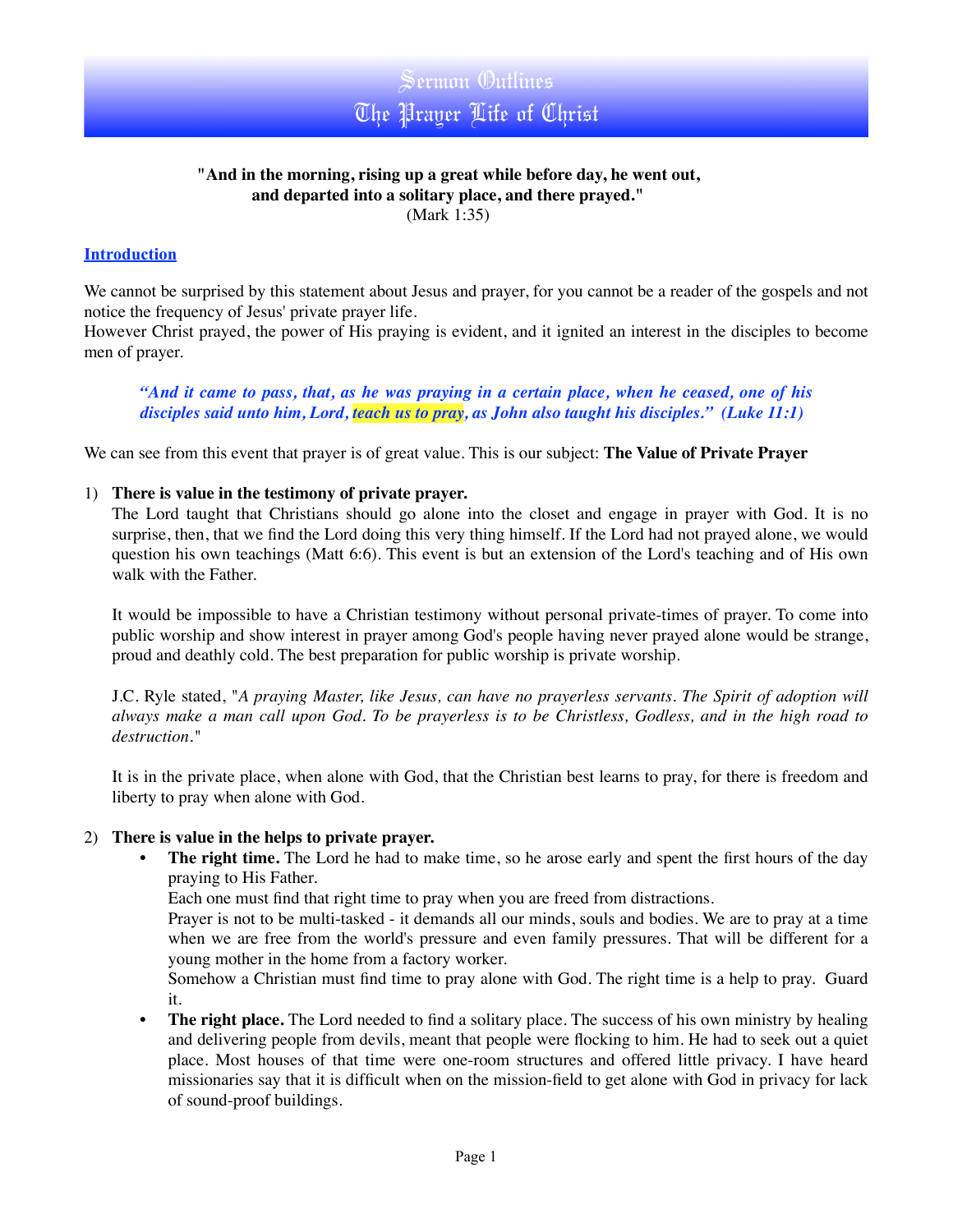

## **"And in the morning, rising up a great while before day, he went out, and departed into a solitary place, and there prayed."** (Mark 1:35)

## **Introduction**

We cannot be surprised by this statement about Jesus and prayer, for you cannot be a reader of the gospels and not notice the frequency of Jesus' private prayer life.

However Christ prayed, the power of His praying is evident, and it ignited an interest in the disciples to become men of prayer.

*"And it came to pass, that, as he was praying in a certain place, when he ceased, one of his disciples said unto him, Lord, teach us to pray, as John also taught his disciples." (Luke 11:1)*

We can see from this event that prayer is of great value. This is our subject: **The Value of Private Prayer** 

#### 1) **There is value in the testimony of private prayer.**

The Lord taught that Christians should go alone into the closet and engage in prayer with God. It is no surprise, then, that we find the Lord doing this very thing himself. If the Lord had not prayed alone, we would question his own teachings (Matt 6:6). This event is but an extension of the Lord's teaching and of His own walk with the Father.

It would be impossible to have a Christian testimony without personal private-times of prayer. To come into public worship and show interest in prayer among God's people having never prayed alone would be strange, proud and deathly cold. The best preparation for public worship is private worship.

J.C. Ryle stated, "*A praying Master, like Jesus, can have no prayerless servants. The Spirit of adoption will always make a man call upon God. To be prayerless is to be Christless, Godless, and in the high road to destruction."*

It is in the private place, when alone with God, that the Christian best learns to pray, for there is freedom and liberty to pray when alone with God.

#### 2) **There is value in the helps to private prayer.**

**The right time.** The Lord he had to make time, so he arose early and spent the first hours of the day praying to His Father.

Each one must find that right time to pray when you are freed from distractions.

Prayer is not to be multi-tasked - it demands all our minds, souls and bodies. We are to pray at a time when we are free from the world's pressure and even family pressures. That will be different for a young mother in the home from a factory worker.

Somehow a Christian must find time to pray alone with God. The right time is a help to pray. Guard it.

• **The right place.** The Lord needed to find a solitary place. The success of his own ministry by healing and delivering people from devils, meant that people were flocking to him. He had to seek out a quiet place. Most houses of that time were one-room structures and offered little privacy. I have heard missionaries say that it is difficult when on the mission-field to get alone with God in privacy for lack of sound-proof buildings.